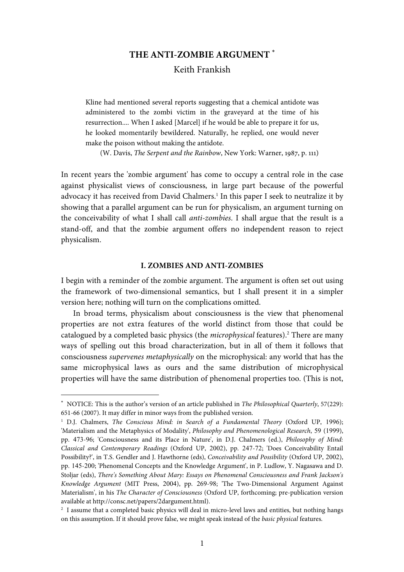# **THE ANTI-ZOMBIE ARGUMENT** <sup>∗</sup>

# Keith Frankish

Kline had mentioned several reports suggesting that a chemical antidote was administered to the zombi victim in the graveyard at the time of his resurrection.... When I asked [Marcel] if he would be able to prepare it for us, he looked momentarily bewildered. Naturally, he replied, one would never make the poison without making the antidote.

(W. Davis, The Serpent and the Rainbow, New York: Warner, 1987, p. 111)

In recent years the 'zombie argument' has come to occupy a central role in the case against physicalist views of consciousness, in large part because of the powerful advocacy it has received from David Chalmers.<sup>1</sup> In this paper I seek to neutralize it by showing that a parallel argument can be run for physicalism, an argument turning on the conceivability of what I shall call anti-zombies. I shall argue that the result is a stand-off, and that the zombie argument offers no independent reason to reject physicalism.

## **I. ZOMBIES AND ANTI-ZOMBIES**

I begin with a reminder of the zombie argument. The argument is often set out using the framework of two-dimensional semantics, but I shall present it in a simpler version here; nothing will turn on the complications omitted.

 In broad terms, physicalism about consciousness is the view that phenomenal properties are not extra features of the world distinct from those that could be catalogued by a completed basic physics (the *microphysical* features).<sup>2</sup> There are many ways of spelling out this broad characterization, but in all of them it follows that consciousness supervenes metaphysically on the microphysical: any world that has the same microphysical laws as ours and the same distribution of microphysical properties will have the same distribution of phenomenal properties too. (This is not,

<sup>\*</sup> NOTICE: This is the author's version of an article published in The Philosophical Quarterly, 57(229): 651-66 (2007). It may differ in minor ways from the published version.

<sup>&</sup>lt;sup>1</sup> D.J. Chalmers, The Conscious Mind: in Search of a Fundamental Theory (Oxford UP, 1996); 'Materialism and the Metaphysics of Modality', Philosophy and Phenomenological Research, 59 (1999), pp. 473-96; 'Consciousness and its Place in Nature', in D.J. Chalmers (ed.), Philosophy of Mind: Classical and Contemporary Readings (Oxford UP, 2002), pp. 247-72; 'Does Conceivability Entail Possibility?', in T.S. Gendler and J. Hawthorne (eds), Conceivability and Possibility (Oxford UP, 2002), pp. 145-200; 'Phenomenal Concepts and the Knowledge Argument', in P. Ludlow, Y. Nagasawa and D. Stoljar (eds), There's Something About Mary: Essays on Phenomenal Consciousness and Frank Jackson's Knowledge Argument (MIT Press, 2004), pp. 269-98; 'The Two-Dimensional Argument Against Materialism', in his The Character of Consciousness (Oxford UP, forthcoming; pre-publication version available at http://consc.net/papers/2dargument.html).

<sup>2</sup> I assume that a completed basic physics will deal in micro-level laws and entities, but nothing hangs on this assumption. If it should prove false, we might speak instead of the basic physical features.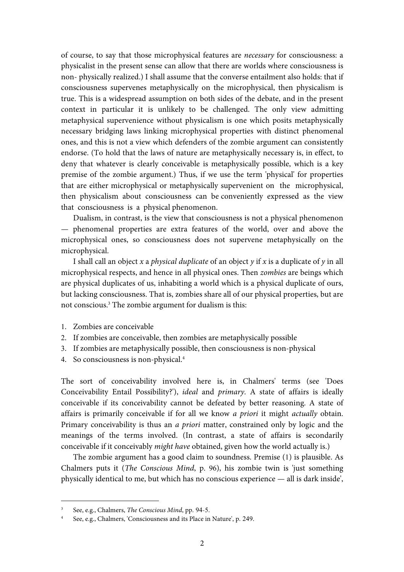of course, to say that those microphysical features are necessary for consciousness: a physicalist in the present sense can allow that there are worlds where consciousness is non- physically realized.) I shall assume that the converse entailment also holds: that if consciousness supervenes metaphysically on the microphysical, then physicalism is true. This is a widespread assumption on both sides of the debate, and in the present context in particular it is unlikely to be challenged. The only view admitting metaphysical supervenience without physicalism is one which posits metaphysically necessary bridging laws linking microphysical properties with distinct phenomenal ones, and this is not a view which defenders of the zombie argument can consistently endorse. (To hold that the laws of nature are metaphysically necessary is, in effect, to deny that whatever is clearly conceivable is metaphysically possible, which is a key premise of the zombie argument.) Thus, if we use the term 'physical' for properties that are either microphysical or metaphysically supervenient on the microphysical, then physicalism about consciousness can be conveniently expressed as the view that consciousness is a physical phenomenon.

 Dualism, in contrast, is the view that consciousness is not a physical phenomenon — phenomenal properties are extra features of the world, over and above the microphysical ones, so consciousness does not supervene metaphysically on the microphysical.

I shall call an object x a *physical duplicate* of an object y if x is a duplicate of y in all microphysical respects, and hence in all physical ones. Then zombies are beings which are physical duplicates of us, inhabiting a world which is a physical duplicate of ours, but lacking consciousness. That is, zombies share all of our physical properties, but are not conscious.<sup>3</sup> The zombie argument for dualism is this:

- 1. Zombies are conceivable
- 2. If zombies are conceivable, then zombies are metaphysically possible
- 3. If zombies are metaphysically possible, then consciousness is non-physical
- 4. So consciousness is non-physical.<sup>4</sup>

The sort of conceivability involved here is, in Chalmers' terms (see 'Does Conceivability Entail Possibility?'), ideal and primary. A state of affairs is ideally conceivable if its conceivability cannot be defeated by better reasoning. A state of affairs is primarily conceivable if for all we know a priori it might actually obtain. Primary conceivability is thus an a priori matter, constrained only by logic and the meanings of the terms involved. (In contrast, a state of affairs is secondarily conceivable if it conceivably might have obtained, given how the world actually is.)

 The zombie argument has a good claim to soundness. Premise (1) is plausible. As Chalmers puts it (The Conscious Mind, p. 96), his zombie twin is 'just something physically identical to me, but which has no conscious experience — all is dark inside',

<sup>&</sup>lt;sup>3</sup> See, e.g., Chalmers, *The Conscious Mind*, pp. 94-5.

<sup>4</sup> See, e.g., Chalmers, 'Consciousness and its Place in Nature', p. 249.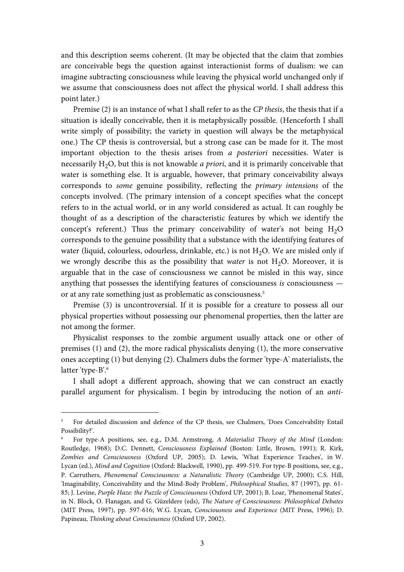and this description seems coherent. (It may be objected that the claim that zombies are conceivable begs the question against interactionist forms of dualism: we can imagine subtracting consciousness while leaving the physical world unchanged only if we assume that consciousness does not affect the physical world. I shall address this point later.)

 Premise (2) is an instance of what I shall refer to as the CP thesis, the thesis that if a situation is ideally conceivable, then it is metaphysically possible. (Henceforth I shall write simply of possibility; the variety in question will always be the metaphysical one.) The CP thesis is controversial, but a strong case can be made for it. The most important objection to the thesis arises from a posteriori necessities. Water is necessarily  $H_2O$ , but this is not knowable *a priori*, and it is primarily conceivable that water is something else. It is arguable, however, that primary conceivability always corresponds to some genuine possibility, reflecting the primary intensions of the concepts involved. (The primary intension of a concept specifies what the concept refers to in the actual world, or in any world considered as actual. It can roughly be thought of as a description of the characteristic features by which we identify the concept's referent.) Thus the primary conceivability of water's not being  $H_2O$ corresponds to the genuine possibility that a substance with the identifying features of water (liquid, colourless, odourless, drinkable, etc.) is not  $H_2O$ . We are misled only if we wrongly describe this as the possibility that water is not  $H_2O$ . Moreover, it is arguable that in the case of consciousness we cannot be misled in this way, since anything that possesses the identifying features of consciousness is consciousness or at any rate something just as problematic as consciousness.<sup>5</sup>

 Premise (3) is uncontroversial. If it is possible for a creature to possess all our physical properties without possessing our phenomenal properties, then the latter are not among the former.

 Physicalist responses to the zombie argument usually attack one or other of premises (1) and (2), the more radical physicalists denying (1), the more conservative ones accepting (1) but denying (2). Chalmers dubs the former 'type-A' materialists, the latter 'type-B'.<sup>6</sup>

 I shall adopt a different approach, showing that we can construct an exactly parallel argument for physicalism. I begin by introducing the notion of an anti-

<sup>5</sup> For detailed discussion and defence of the CP thesis, see Chalmers, 'Does Conceivability Entail Possibility?'.

<sup>6</sup> For type-A positions, see, e.g., D.M. Armstrong, A Materialist Theory of the Mind (London: Routledge, 1968); D.C. Dennett, Consciousness Explained (Boston: Little, Brown, 1991); R. Kirk, Zombies and Consciousness (Oxford UP, 2005); D. Lewis, 'What Experience Teaches', in W. Lycan (ed.), Mind and Cognition (Oxford: Blackwell, 1990), pp. 499-519. For type-B positions, see, e.g., P. Carruthers, Phenomenal Consciousness: a Naturalistic Theory (Cambridge UP, 2000); C.S. Hill, 'Imaginability, Conceivability and the Mind-Body Problem', Philosophical Studies, 87 (1997), pp. 61- 85; J. Levine, Purple Haze: the Puzzle of Consciousness (Oxford UP, 2001); B. Loar, 'Phenomenal States', in N. Block, O. Flanagan, and G. Güzeldere (eds), The Nature of Consciousness: Philosophical Debates (MIT Press, 1997), pp. 597-616; W.G. Lycan, Consciousness and Experience (MIT Press, 1996); D. Papineau, Thinking about Consciousness (Oxford UP, 2002).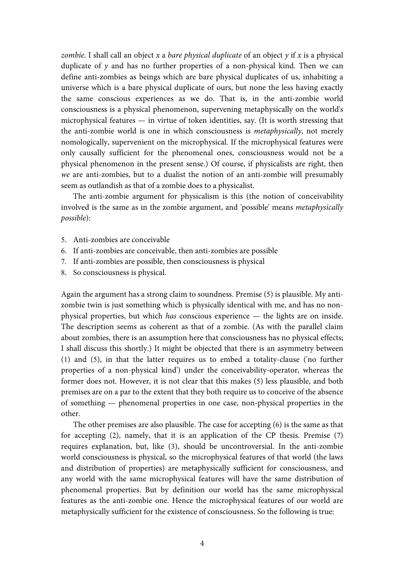zombie. I shall call an object x a bare physical duplicate of an object y if x is a physical duplicate of  $y$  and has no further properties of a non-physical kind. Then we can define anti-zombies as beings which are bare physical duplicates of us, inhabiting a universe which is a bare physical duplicate of ours, but none the less having exactly the same conscious experiences as we do. That is, in the anti-zombie world consciousness is a physical phenomenon, supervening metaphysically on the world's microphysical features — in virtue of token identities, say. (It is worth stressing that the anti-zombie world is one in which consciousness is metaphysically, not merely nomologically, supervenient on the microphysical. If the microphysical features were only causally sufficient for the phenomenal ones, consciousness would not be a physical phenomenon in the present sense.) Of course, if physicalists are right, then we are anti-zombies, but to a dualist the notion of an anti-zombie will presumably seem as outlandish as that of a zombie does to a physicalist.

 The anti-zombie argument for physicalism is this (the notion of conceivability involved is the same as in the zombie argument, and 'possible' means metaphysically possible):

- 5. Anti-zombies are conceivable
- 6. If anti-zombies are conceivable, then anti-zombies are possible
- 7. If anti-zombies are possible, then consciousness is physical
- 8. So consciousness is physical.

Again the argument has a strong claim to soundness. Premise (5) is plausible. My antizombie twin is just something which is physically identical with me, and has no nonphysical properties, but which has conscious experience — the lights are on inside. The description seems as coherent as that of a zombie. (As with the parallel claim about zombies, there is an assumption here that consciousness has no physical effects; I shall discuss this shortly.) It might be objected that there is an asymmetry between (1) and (5), in that the latter requires us to embed a totality-clause ('no further properties of a non-physical kind') under the conceivability-operator, whereas the former does not. However, it is not clear that this makes (5) less plausible, and both premises are on a par to the extent that they both require us to conceive of the absence of something — phenomenal properties in one case, non-physical properties in the other.

 The other premises are also plausible. The case for accepting (6) is the same as that for accepting (2), namely, that it is an application of the CP thesis. Premise (7) requires explanation, but, like (3), should be uncontroversial. In the anti-zombie world consciousness is physical, so the microphysical features of that world (the laws and distribution of properties) are metaphysically sufficient for consciousness, and any world with the same microphysical features will have the same distribution of phenomenal properties. But by definition our world has the same microphysical features as the anti-zombie one. Hence the microphysical features of our world are metaphysically sufficient for the existence of consciousness. So the following is true: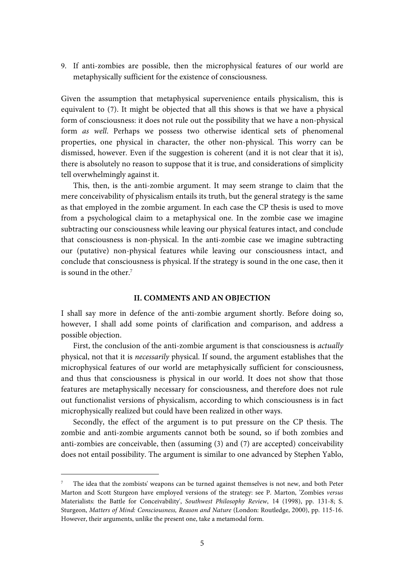9. If anti-zombies are possible, then the microphysical features of our world are metaphysically sufficient for the existence of consciousness.

Given the assumption that metaphysical supervenience entails physicalism, this is equivalent to (7). It might be objected that all this shows is that we have a physical form of consciousness: it does not rule out the possibility that we have a non-physical form as well. Perhaps we possess two otherwise identical sets of phenomenal properties, one physical in character, the other non-physical. This worry can be dismissed, however. Even if the suggestion is coherent (and it is not clear that it is), there is absolutely no reason to suppose that it is true, and considerations of simplicity tell overwhelmingly against it.

 This, then, is the anti-zombie argument. It may seem strange to claim that the mere conceivability of physicalism entails its truth, but the general strategy is the same as that employed in the zombie argument. In each case the CP thesis is used to move from a psychological claim to a metaphysical one. In the zombie case we imagine subtracting our consciousness while leaving our physical features intact, and conclude that consciousness is non-physical. In the anti-zombie case we imagine subtracting our (putative) non-physical features while leaving our consciousness intact, and conclude that consciousness is physical. If the strategy is sound in the one case, then it is sound in the other.<sup>7</sup>

#### **II. COMMENTS AND AN OBJECTION**

I shall say more in defence of the anti-zombie argument shortly. Before doing so, however, I shall add some points of clarification and comparison, and address a possible objection.

 First, the conclusion of the anti-zombie argument is that consciousness is actually physical, not that it is necessarily physical. If sound, the argument establishes that the microphysical features of our world are metaphysically sufficient for consciousness, and thus that consciousness is physical in our world. It does not show that those features are metaphysically necessary for consciousness, and therefore does not rule out functionalist versions of physicalism, according to which consciousness is in fact microphysically realized but could have been realized in other ways.

 Secondly, the effect of the argument is to put pressure on the CP thesis. The zombie and anti-zombie arguments cannot both be sound, so if both zombies and anti-zombies are conceivable, then (assuming (3) and (7) are accepted) conceivability does not entail possibility. The argument is similar to one advanced by Stephen Yablo,

<sup>7</sup> The idea that the zombists' weapons can be turned against themselves is not new, and both Peter Marton and Scott Sturgeon have employed versions of the strategy: see P. Marton, 'Zombies versus Materialists: the Battle for Conceivability', Southwest Philosophy Review, 14 (1998), pp. 131-8; S. Sturgeon, Matters of Mind: Consciousness, Reason and Nature (London: Routledge, 2000), pp. 115-16. However, their arguments, unlike the present one, take a metamodal form.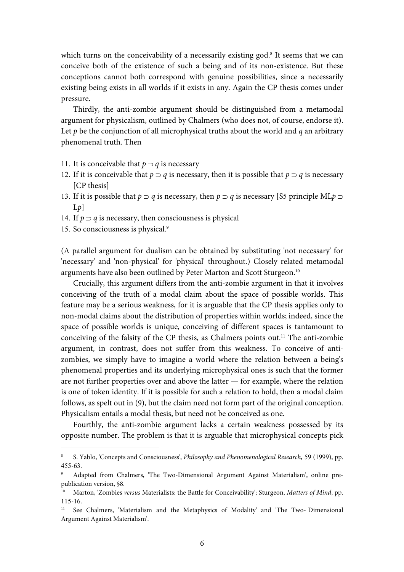which turns on the conceivability of a necessarily existing god.<sup>8</sup> It seems that we can conceive both of the existence of such a being and of its non-existence. But these conceptions cannot both correspond with genuine possibilities, since a necessarily existing being exists in all worlds if it exists in any. Again the CP thesis comes under pressure.

 Thirdly, the anti-zombie argument should be distinguished from a metamodal argument for physicalism, outlined by Chalmers (who does not, of course, endorse it). Let  $p$  be the conjunction of all microphysical truths about the world and  $q$  an arbitrary phenomenal truth. Then

- 11. It is conceivable that  $p \supset q$  is necessary
- 12. If it is conceivable that  $p \supset q$  is necessary, then it is possible that  $p \supset q$  is necessary [CP thesis]
- 13. If it is possible that  $p \supset q$  is necessary, then  $p \supset q$  is necessary [S5 principle MLp  $\supset$  $Lp$
- 14. If  $p \supset q$  is necessary, then consciousness is physical
- 15. So consciousness is physical.<sup>9</sup>

-

(A parallel argument for dualism can be obtained by substituting 'not necessary' for 'necessary' and 'non-physical' for 'physical' throughout.) Closely related metamodal arguments have also been outlined by Peter Marton and Scott Sturgeon.<sup>10</sup>

 Crucially, this argument differs from the anti-zombie argument in that it involves conceiving of the truth of a modal claim about the space of possible worlds. This feature may be a serious weakness, for it is arguable that the CP thesis applies only to non-modal claims about the distribution of properties within worlds; indeed, since the space of possible worlds is unique, conceiving of different spaces is tantamount to conceiving of the falsity of the CP thesis, as Chalmers points out.<sup>11</sup> The anti-zombie argument, in contrast, does not suffer from this weakness. To conceive of antizombies, we simply have to imagine a world where the relation between a being's phenomenal properties and its underlying microphysical ones is such that the former are not further properties over and above the latter — for example, where the relation is one of token identity. If it is possible for such a relation to hold, then a modal claim follows, as spelt out in (9), but the claim need not form part of the original conception. Physicalism entails a modal thesis, but need not be conceived as one.

 Fourthly, the anti-zombie argument lacks a certain weakness possessed by its opposite number. The problem is that it is arguable that microphysical concepts pick

<sup>8</sup> S. Yablo, 'Concepts and Consciousness', Philosophy and Phenomenological Research, 59 (1999), pp. 455-63.

<sup>9</sup> Adapted from Chalmers, 'The Two-Dimensional Argument Against Materialism', online prepublication version, §8.

<sup>&</sup>lt;sup>10</sup> Marton, 'Zombies versus Materialists: the Battle for Conceivability'; Sturgeon, *Matters of Mind*, pp. 115-16.

<sup>&</sup>lt;sup>11</sup> See Chalmers, 'Materialism and the Metaphysics of Modality' and 'The Two- Dimensional Argument Against Materialism'.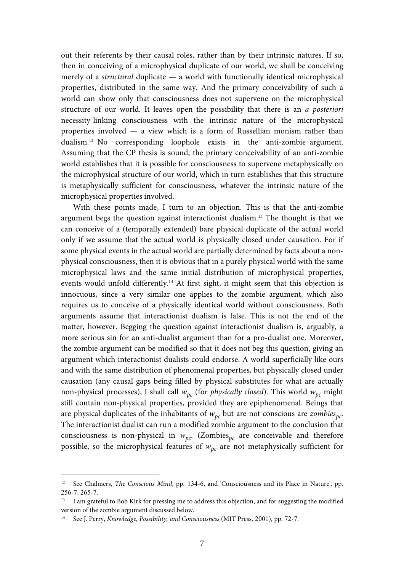out their referents by their causal roles, rather than by their intrinsic natures. If so, then in conceiving of a microphysical duplicate of our world, we shall be conceiving merely of a structural duplicate — a world with functionally identical microphysical properties, distributed in the same way. And the primary conceivability of such a world can show only that consciousness does not supervene on the microphysical structure of our world. It leaves open the possibility that there is an a posteriori necessity linking consciousness with the intrinsic nature of the microphysical properties involved — a view which is a form of Russellian monism rather than dualism.<sup>12</sup> No corresponding loophole exists in the anti-zombie argument. Assuming that the CP thesis is sound, the primary conceivability of an anti-zombie world establishes that it is possible for consciousness to supervene metaphysically on the microphysical structure of our world, which in turn establishes that this structure is metaphysically sufficient for consciousness, whatever the intrinsic nature of the microphysical properties involved.

 With these points made, I turn to an objection. This is that the anti-zombie argument begs the question against interactionist dualism.<sup>13</sup> The thought is that we can conceive of a (temporally extended) bare physical duplicate of the actual world only if we assume that the actual world is physically closed under causation. For if some physical events in the actual world are partially determined by facts about a nonphysical consciousness, then it is obvious that in a purely physical world with the same microphysical laws and the same initial distribution of microphysical properties, events would unfold differently.<sup>14</sup> At first sight, it might seem that this objection is innocuous, since a very similar one applies to the zombie argument, which also requires us to conceive of a physically identical world without consciousness. Both arguments assume that interactionist dualism is false. This is not the end of the matter, however. Begging the question against interactionist dualism is, arguably, a more serious sin for an anti-dualist argument than for a pro-dualist one. Moreover, the zombie argument can be modified so that it does not beg this question, giving an argument which interactionist dualists could endorse. A world superficially like ours and with the same distribution of phenomenal properties, but physically closed under causation (any causal gaps being filled by physical substitutes for what are actually non-physical processes), I shall call  $w_{pc}$  (for *physically closed*). This world  $w_{pc}$  might still contain non-physical properties, provided they are epiphenomenal. Beings that are physical duplicates of the inhabitants of  $w_{nc}$  but are not conscious are *zombies*<sub>pc</sub>. The interactionist dualist can run a modified zombie argument to the conclusion that consciousness is non-physical in  $w_{pc}$ . (Zombies<sub>pc</sub> are conceivable and therefore possible, so the microphysical features of  $w_{pc}$  are not metaphysically sufficient for

<sup>&</sup>lt;sup>12</sup> See Chalmers, *The Conscious Mind*, pp. 134-6, and 'Consciousness and its Place in Nature', pp. 256-7, 265-7.

<sup>&</sup>lt;sup>13</sup> I am grateful to Bob Kirk for pressing me to address this objection, and for suggesting the modified version of the zombie argument discussed below.

<sup>&</sup>lt;sup>14</sup> See J. Perry, *Knowledge, Possibility, and Consciousness* (MIT Press, 2001), pp. 72-7.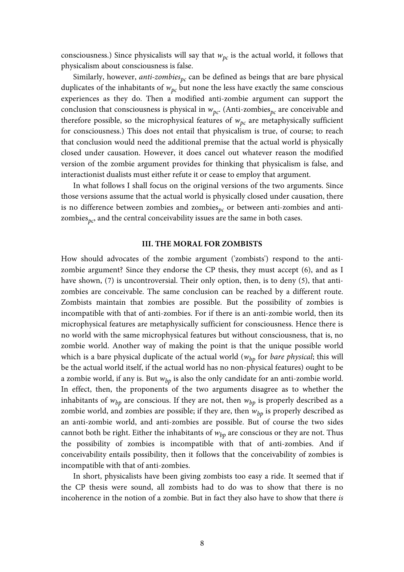consciousness.) Since physicalists will say that  $w_{pc}$  is the actual world, it follows that physicalism about consciousness is false.

Similarly, however, *anti-zombies*<sub>pc</sub> can be defined as beings that are bare physical duplicates of the inhabitants of  $w_{pc}$  but none the less have exactly the same conscious experiences as they do. Then a modified anti-zombie argument can support the conclusion that consciousness is physical in  $w_{pc}$ . (Anti-zombies<sub>pc</sub> are conceivable and therefore possible, so the microphysical features of  $w_{pc}$  are metaphysically sufficient for consciousness.) This does not entail that physicalism is true, of course; to reach that conclusion would need the additional premise that the actual world is physically closed under causation. However, it does cancel out whatever reason the modified version of the zombie argument provides for thinking that physicalism is false, and interactionist dualists must either refute it or cease to employ that argument.

 In what follows I shall focus on the original versions of the two arguments. Since those versions assume that the actual world is physically closed under causation, there is no difference between zombies and zombies $_{bc}$  or between anti-zombies and antizombies $_{bc}$ , and the central conceivability issues are the same in both cases.

#### **III. THE MORAL FOR ZOMBISTS**

How should advocates of the zombie argument ('zombists') respond to the antizombie argument? Since they endorse the CP thesis, they must accept (6), and as I have shown, (7) is uncontroversial. Their only option, then, is to deny (5), that antizombies are conceivable. The same conclusion can be reached by a different route. Zombists maintain that zombies are possible. But the possibility of zombies is incompatible with that of anti-zombies. For if there is an anti-zombie world, then its microphysical features are metaphysically sufficient for consciousness. Hence there is no world with the same microphysical features but without consciousness, that is, no zombie world. Another way of making the point is that the unique possible world which is a bare physical duplicate of the actual world ( $w_{bb}$  for *bare physical*; this will be the actual world itself, if the actual world has no non-physical features) ought to be a zombie world, if any is. But  $w_{bp}$  is also the only candidate for an anti-zombie world. In effect, then, the proponents of the two arguments disagree as to whether the inhabitants of  $w_{bp}$  are conscious. If they are not, then  $w_{bp}$  is properly described as a zombie world, and zombies are possible; if they are, then  $w_{bp}$  is properly described as an anti-zombie world, and anti-zombies are possible. But of course the two sides cannot both be right. Either the inhabitants of  $w_{bp}$  are conscious or they are not. Thus the possibility of zombies is incompatible with that of anti-zombies. And if conceivability entails possibility, then it follows that the conceivability of zombies is incompatible with that of anti-zombies.

 In short, physicalists have been giving zombists too easy a ride. It seemed that if the CP thesis were sound, all zombists had to do was to show that there is no incoherence in the notion of a zombie. But in fact they also have to show that there is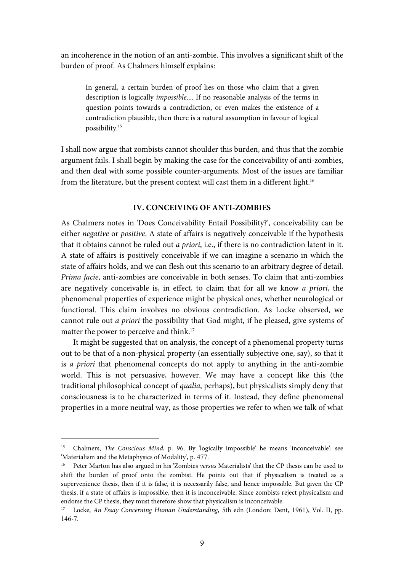an incoherence in the notion of an anti-zombie. This involves a significant shift of the burden of proof. As Chalmers himself explains:

In general, a certain burden of proof lies on those who claim that a given description is logically impossible.... If no reasonable analysis of the terms in question points towards a contradiction, or even makes the existence of a contradiction plausible, then there is a natural assumption in favour of logical possibility.<sup>15</sup>

I shall now argue that zombists cannot shoulder this burden, and thus that the zombie argument fails. I shall begin by making the case for the conceivability of anti-zombies, and then deal with some possible counter-arguments. Most of the issues are familiar from the literature, but the present context will cast them in a different light.<sup>16</sup>

### **IV. CONCEIVING OF ANTI-ZOMBIES**

As Chalmers notes in 'Does Conceivability Entail Possibility?', conceivability can be either negative or positive. A state of affairs is negatively conceivable if the hypothesis that it obtains cannot be ruled out a priori, i.e., if there is no contradiction latent in it. A state of affairs is positively conceivable if we can imagine a scenario in which the state of affairs holds, and we can flesh out this scenario to an arbitrary degree of detail. Prima facie, anti-zombies are conceivable in both senses. To claim that anti-zombies are negatively conceivable is, in effect, to claim that for all we know a priori, the phenomenal properties of experience might be physical ones, whether neurological or functional. This claim involves no obvious contradiction. As Locke observed, we cannot rule out a priori the possibility that God might, if he pleased, give systems of matter the power to perceive and think.<sup>17</sup>

 It might be suggested that on analysis, the concept of a phenomenal property turns out to be that of a non-physical property (an essentially subjective one, say), so that it is a priori that phenomenal concepts do not apply to anything in the anti-zombie world. This is not persuasive, however. We may have a concept like this (the traditional philosophical concept of qualia, perhaps), but physicalists simply deny that consciousness is to be characterized in terms of it. Instead, they define phenomenal properties in a more neutral way, as those properties we refer to when we talk of what

<sup>&</sup>lt;sup>15</sup> Chalmers, *The Conscious Mind*, p. 96. By 'logically impossible' he means 'inconceivable': see 'Materialism and the Metaphysics of Modality', p. 477.

<sup>&</sup>lt;sup>16</sup> Peter Marton has also argued in his 'Zombies versus Materialists' that the CP thesis can be used to shift the burden of proof onto the zombist. He points out that if physicalism is treated as a supervenience thesis, then if it is false, it is necessarily false, and hence impossible. But given the CP thesis, if a state of affairs is impossible, then it is inconceivable. Since zombists reject physicalism and endorse the CP thesis, they must therefore show that physicalism is inconceivable.

<sup>&</sup>lt;sup>17</sup> Locke, An Essay Concerning Human Understanding, 5th edn (London: Dent, 1961), Vol. II, pp. 146-7.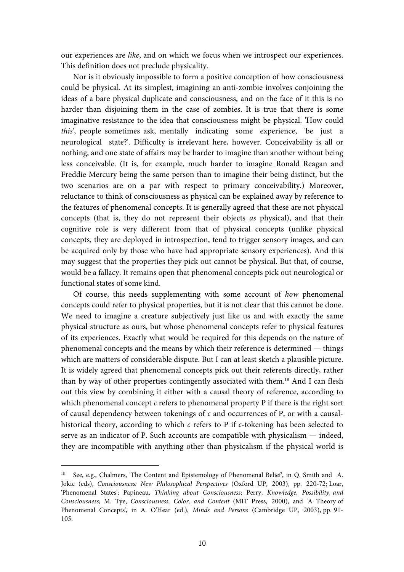our experiences are like, and on which we focus when we introspect our experiences. This definition does not preclude physicality.

 Nor is it obviously impossible to form a positive conception of how consciousness could be physical. At its simplest, imagining an anti-zombie involves conjoining the ideas of a bare physical duplicate and consciousness, and on the face of it this is no harder than disjoining them in the case of zombies. It is true that there is some imaginative resistance to the idea that consciousness might be physical. 'How could this', people sometimes ask, mentally indicating some experience, 'be just a neurological state?'. Difficulty is irrelevant here, however. Conceivability is all or nothing, and one state of affairs may be harder to imagine than another without being less conceivable. (It is, for example, much harder to imagine Ronald Reagan and Freddie Mercury being the same person than to imagine their being distinct, but the two scenarios are on a par with respect to primary conceivability.) Moreover, reluctance to think of consciousness as physical can be explained away by reference to the features of phenomenal concepts. It is generally agreed that these are not physical concepts (that is, they do not represent their objects as physical), and that their cognitive role is very different from that of physical concepts (unlike physical concepts, they are deployed in introspection, tend to trigger sensory images, and can be acquired only by those who have had appropriate sensory experiences). And this may suggest that the properties they pick out cannot be physical. But that, of course, would be a fallacy. It remains open that phenomenal concepts pick out neurological or functional states of some kind.

 Of course, this needs supplementing with some account of how phenomenal concepts could refer to physical properties, but it is not clear that this cannot be done. We need to imagine a creature subjectively just like us and with exactly the same physical structure as ours, but whose phenomenal concepts refer to physical features of its experiences. Exactly what would be required for this depends on the nature of phenomenal concepts and the means by which their reference is determined — things which are matters of considerable dispute. But I can at least sketch a plausible picture. It is widely agreed that phenomenal concepts pick out their referents directly, rather than by way of other properties contingently associated with them.<sup>18</sup> And I can flesh out this view by combining it either with a causal theory of reference, according to which phenomenal concept c refers to phenomenal property P if there is the right sort of causal dependency between tokenings of  $c$  and occurrences of P, or with a causalhistorical theory, according to which  $c$  refers to P if  $c$ -tokening has been selected to serve as an indicator of P. Such accounts are compatible with physicalism — indeed, they are incompatible with anything other than physicalism if the physical world is

<sup>&</sup>lt;sup>18</sup> See, e.g., Chalmers, 'The Content and Epistemology of Phenomenal Belief', in Q. Smith and A. Jokic (eds), Consciousness: New Philosophical Perspectives (Oxford UP, 2003), pp. 220-72; Loar, 'Phenomenal States'; Papineau, Thinking about Consciousness; Perry, Knowledge, Possibility, and Consciousness; M. Tye, Consciousness, Color, and Content (MIT Press, 2000), and 'A Theory of Phenomenal Concepts', in A. O'Hear (ed.), Minds and Persons (Cambridge UP, 2003), pp. 91- 105.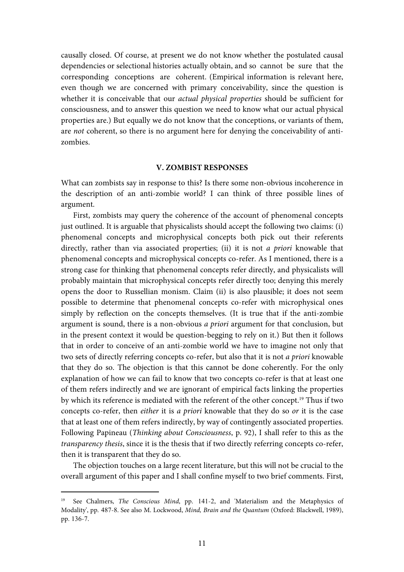causally closed. Of course, at present we do not know whether the postulated causal dependencies or selectional histories actually obtain, and so cannot be sure that the corresponding conceptions are coherent. (Empirical information is relevant here, even though we are concerned with primary conceivability, since the question is whether it is conceivable that our actual physical properties should be sufficient for consciousness, and to answer this question we need to know what our actual physical properties are.) But equally we do not know that the conceptions, or variants of them, are not coherent, so there is no argument here for denying the conceivability of antizombies.

#### **V. ZOMBIST RESPONSES**

What can zombists say in response to this? Is there some non-obvious incoherence in the description of an anti-zombie world? I can think of three possible lines of argument.

 First, zombists may query the coherence of the account of phenomenal concepts just outlined. It is arguable that physicalists should accept the following two claims: (i) phenomenal concepts and microphysical concepts both pick out their referents directly, rather than via associated properties; (ii) it is not a priori knowable that phenomenal concepts and microphysical concepts co-refer. As I mentioned, there is a strong case for thinking that phenomenal concepts refer directly, and physicalists will probably maintain that microphysical concepts refer directly too; denying this merely opens the door to Russellian monism. Claim (ii) is also plausible; it does not seem possible to determine that phenomenal concepts co-refer with microphysical ones simply by reflection on the concepts themselves. (It is true that if the anti-zombie argument is sound, there is a non-obvious a priori argument for that conclusion, but in the present context it would be question-begging to rely on it.) But then it follows that in order to conceive of an anti-zombie world we have to imagine not only that two sets of directly referring concepts co-refer, but also that it is not a priori knowable that they do so. The objection is that this cannot be done coherently. For the only explanation of how we can fail to know that two concepts co-refer is that at least one of them refers indirectly and we are ignorant of empirical facts linking the properties by which its reference is mediated with the referent of the other concept.<sup>19</sup> Thus if two concepts co-refer, then either it is a priori knowable that they do so or it is the case that at least one of them refers indirectly, by way of contingently associated properties. Following Papineau (Thinking about Consciousness, p. 92), I shall refer to this as the transparency thesis, since it is the thesis that if two directly referring concepts co-refer, then it is transparent that they do so.

 The objection touches on a large recent literature, but this will not be crucial to the overall argument of this paper and I shall confine myself to two brief comments. First,

<sup>19</sup> See Chalmers, The Conscious Mind, pp. 141-2, and 'Materialism and the Metaphysics of Modality', pp. 487-8. See also M. Lockwood, Mind, Brain and the Quantum (Oxford: Blackwell, 1989), pp. 136-7.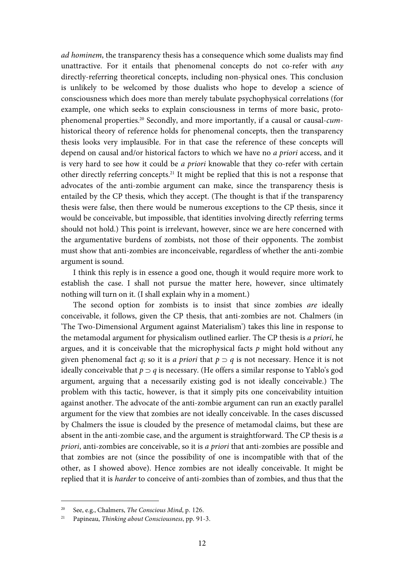ad hominem, the transparency thesis has a consequence which some dualists may find unattractive. For it entails that phenomenal concepts do not co-refer with *any* directly-referring theoretical concepts, including non-physical ones. This conclusion is unlikely to be welcomed by those dualists who hope to develop a science of consciousness which does more than merely tabulate psychophysical correlations (for example, one which seeks to explain consciousness in terms of more basic, protophenomenal properties.20 Secondly, and more importantly, if a causal or causal-cumhistorical theory of reference holds for phenomenal concepts, then the transparency thesis looks very implausible. For in that case the reference of these concepts will depend on causal and/or historical factors to which we have no a priori access, and it is very hard to see how it could be a priori knowable that they co-refer with certain other directly referring concepts.<sup>21</sup> It might be replied that this is not a response that advocates of the anti-zombie argument can make, since the transparency thesis is entailed by the CP thesis, which they accept. (The thought is that if the transparency thesis were false, then there would be numerous exceptions to the CP thesis, since it would be conceivable, but impossible, that identities involving directly referring terms should not hold.) This point is irrelevant, however, since we are here concerned with the argumentative burdens of zombists, not those of their opponents. The zombist must show that anti-zombies are inconceivable, regardless of whether the anti-zombie argument is sound.

 I think this reply is in essence a good one, though it would require more work to establish the case. I shall not pursue the matter here, however, since ultimately nothing will turn on it. (I shall explain why in a moment.)

The second option for zombists is to insist that since zombies are ideally conceivable, it follows, given the CP thesis, that anti-zombies are not. Chalmers (in 'The Two-Dimensional Argument against Materialism') takes this line in response to the metamodal argument for physicalism outlined earlier. The CP thesis is a priori, he argues, and it is conceivable that the microphysical facts  $p$  might hold without any given phenomenal fact q; so it is a priori that  $p \supset q$  is not necessary. Hence it is not ideally conceivable that  $p \supset q$  is necessary. (He offers a similar response to Yablo's god argument, arguing that a necessarily existing god is not ideally conceivable.) The problem with this tactic, however, is that it simply pits one conceivability intuition against another. The advocate of the anti-zombie argument can run an exactly parallel argument for the view that zombies are not ideally conceivable. In the cases discussed by Chalmers the issue is clouded by the presence of metamodal claims, but these are absent in the anti-zombie case, and the argument is straightforward. The CP thesis is a priori, anti-zombies are conceivable, so it is a priori that anti-zombies are possible and that zombies are not (since the possibility of one is incompatible with that of the other, as I showed above). Hence zombies are not ideally conceivable. It might be replied that it is harder to conceive of anti-zombies than of zombies, and thus that the

<sup>&</sup>lt;sup>20</sup> See, e.g., Chalmers, *The Conscious Mind*, p. 126.

 $21$  Papineau, Thinking about Consciousness, pp. 91-3.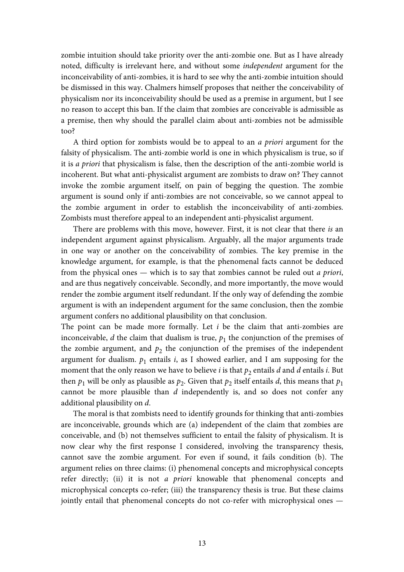zombie intuition should take priority over the anti-zombie one. But as I have already noted, difficulty is irrelevant here, and without some independent argument for the inconceivability of anti-zombies, it is hard to see why the anti-zombie intuition should be dismissed in this way. Chalmers himself proposes that neither the conceivability of physicalism nor its inconceivability should be used as a premise in argument, but I see no reason to accept this ban. If the claim that zombies are conceivable is admissible as a premise, then why should the parallel claim about anti-zombies not be admissible too?

 A third option for zombists would be to appeal to an a priori argument for the falsity of physicalism. The anti-zombie world is one in which physicalism is true, so if it is a priori that physicalism is false, then the description of the anti-zombie world is incoherent. But what anti-physicalist argument are zombists to draw on? They cannot invoke the zombie argument itself, on pain of begging the question. The zombie argument is sound only if anti-zombies are not conceivable, so we cannot appeal to the zombie argument in order to establish the inconceivability of anti-zombies. Zombists must therefore appeal to an independent anti-physicalist argument.

There are problems with this move, however. First, it is not clear that there is an independent argument against physicalism. Arguably, all the major arguments trade in one way or another on the conceivability of zombies. The key premise in the knowledge argument, for example, is that the phenomenal facts cannot be deduced from the physical ones — which is to say that zombies cannot be ruled out a priori, and are thus negatively conceivable. Secondly, and more importantly, the move would render the zombie argument itself redundant. If the only way of defending the zombie argument is with an independent argument for the same conclusion, then the zombie argument confers no additional plausibility on that conclusion.

The point can be made more formally. Let  $i$  be the claim that anti-zombies are inconceivable,  $d$  the claim that dualism is true,  $p_1$  the conjunction of the premises of the zombie argument, and  $p_2$  the conjunction of the premises of the independent argument for dualism.  $p_1$  entails *i*, as I showed earlier, and I am supposing for the moment that the only reason we have to believe  $i$  is that  $p_2$  entails  $d$  and  $d$  entails  $i$ . But then  $p_1$  will be only as plausible as  $p_2$ . Given that  $p_2$  itself entails  $d$ , this means that  $p_1$ cannot be more plausible than d independently is, and so does not confer any additional plausibility on d.

 The moral is that zombists need to identify grounds for thinking that anti-zombies are inconceivable, grounds which are (a) independent of the claim that zombies are conceivable, and (b) not themselves sufficient to entail the falsity of physicalism. It is now clear why the first response I considered, involving the transparency thesis, cannot save the zombie argument. For even if sound, it fails condition (b). The argument relies on three claims: (i) phenomenal concepts and microphysical concepts refer directly; (ii) it is not a priori knowable that phenomenal concepts and microphysical concepts co-refer; (iii) the transparency thesis is true. But these claims jointly entail that phenomenal concepts do not co-refer with microphysical ones —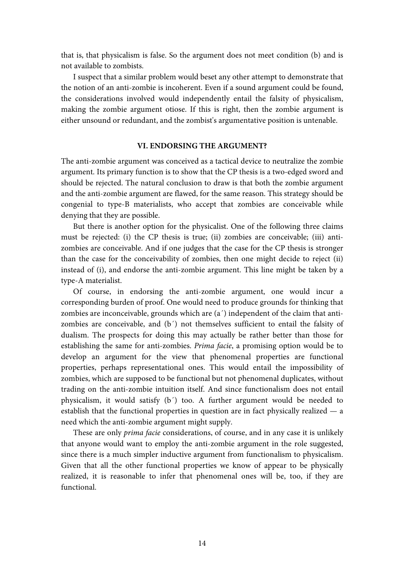that is, that physicalism is false. So the argument does not meet condition (b) and is not available to zombists.

 I suspect that a similar problem would beset any other attempt to demonstrate that the notion of an anti-zombie is incoherent. Even if a sound argument could be found, the considerations involved would independently entail the falsity of physicalism, making the zombie argument otiose. If this is right, then the zombie argument is either unsound or redundant, and the zombist's argumentative position is untenable.

### **VI. ENDORSING THE ARGUMENT?**

The anti-zombie argument was conceived as a tactical device to neutralize the zombie argument. Its primary function is to show that the CP thesis is a two-edged sword and should be rejected. The natural conclusion to draw is that both the zombie argument and the anti-zombie argument are flawed, for the same reason. This strategy should be congenial to type-B materialists, who accept that zombies are conceivable while denying that they are possible.

 But there is another option for the physicalist. One of the following three claims must be rejected: (i) the CP thesis is true; (ii) zombies are conceivable; (iii) antizombies are conceivable. And if one judges that the case for the CP thesis is stronger than the case for the conceivability of zombies, then one might decide to reject (ii) instead of (i), and endorse the anti-zombie argument. This line might be taken by a type-A materialist.

 Of course, in endorsing the anti-zombie argument, one would incur a corresponding burden of proof. One would need to produce grounds for thinking that zombies are inconceivable, grounds which are (a´) independent of the claim that antizombies are conceivable, and (b´) not themselves sufficient to entail the falsity of dualism. The prospects for doing this may actually be rather better than those for establishing the same for anti-zombies. Prima facie, a promising option would be to develop an argument for the view that phenomenal properties are functional properties, perhaps representational ones. This would entail the impossibility of zombies, which are supposed to be functional but not phenomenal duplicates, without trading on the anti-zombie intuition itself. And since functionalism does not entail physicalism, it would satisfy (b´) too. A further argument would be needed to establish that the functional properties in question are in fact physically realized — a need which the anti-zombie argument might supply.

These are only *prima facie* considerations, of course, and in any case it is unlikely that anyone would want to employ the anti-zombie argument in the role suggested, since there is a much simpler inductive argument from functionalism to physicalism. Given that all the other functional properties we know of appear to be physically realized, it is reasonable to infer that phenomenal ones will be, too, if they are functional.